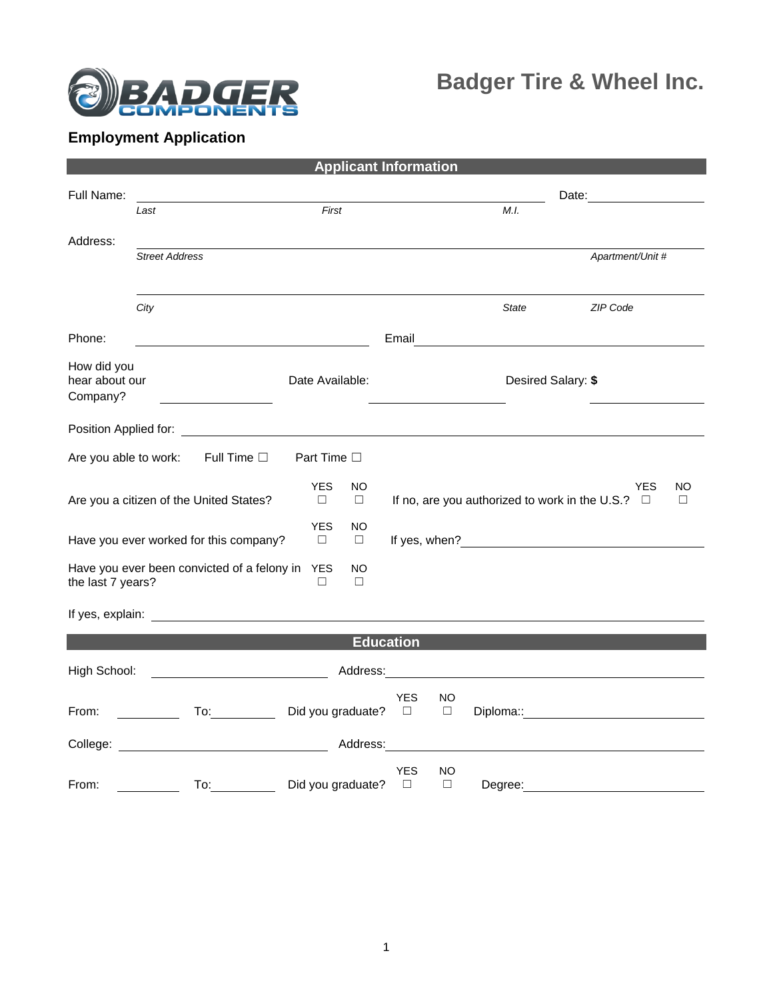

## **Employment Application**

|                                                                                                          |                                                                                                                                                                                                                                |                      | <b>Applicant Information</b> |                      |                    |                                                                                                                      |  |                             |              |
|----------------------------------------------------------------------------------------------------------|--------------------------------------------------------------------------------------------------------------------------------------------------------------------------------------------------------------------------------|----------------------|------------------------------|----------------------|--------------------|----------------------------------------------------------------------------------------------------------------------|--|-----------------------------|--------------|
| Full Name:                                                                                               |                                                                                                                                                                                                                                |                      |                              |                      |                    |                                                                                                                      |  | Date: <u>______________</u> |              |
|                                                                                                          | Last                                                                                                                                                                                                                           |                      | First                        |                      |                    | M.I.                                                                                                                 |  |                             |              |
| Address:                                                                                                 |                                                                                                                                                                                                                                |                      |                              |                      |                    |                                                                                                                      |  |                             |              |
|                                                                                                          | <b>Street Address</b>                                                                                                                                                                                                          |                      |                              |                      |                    |                                                                                                                      |  | Apartment/Unit #            |              |
|                                                                                                          | City                                                                                                                                                                                                                           |                      |                              |                      |                    | <b>State</b>                                                                                                         |  | ZIP Code                    |              |
|                                                                                                          |                                                                                                                                                                                                                                |                      |                              |                      |                    |                                                                                                                      |  |                             |              |
| Phone:                                                                                                   |                                                                                                                                                                                                                                |                      |                              | Email                |                    |                                                                                                                      |  |                             |              |
| How did you<br>hear about our<br>Company?                                                                |                                                                                                                                                                                                                                | Date Available:      |                              |                      | Desired Salary: \$ |                                                                                                                      |  |                             |              |
|                                                                                                          |                                                                                                                                                                                                                                |                      |                              |                      |                    |                                                                                                                      |  |                             |              |
| Are you able to work:                                                                                    | Full Time $\square$                                                                                                                                                                                                            | Part Time $\square$  |                              |                      |                    |                                                                                                                      |  |                             |              |
|                                                                                                          | Are you a citizen of the United States?                                                                                                                                                                                        | <b>YES</b><br>$\Box$ | NO.<br>$\Box$                |                      |                    | If no, are you authorized to work in the U.S.? $\Box$                                                                |  | YES                         | NO<br>$\Box$ |
| <b>YES</b><br>NO<br>Have you ever worked for this company?<br>$\Box$<br>$\Box$                           |                                                                                                                                                                                                                                |                      |                              |                      |                    |                                                                                                                      |  |                             |              |
| Have you ever been convicted of a felony in<br><b>YES</b><br>NO<br>the last 7 years?<br>$\Box$<br>$\Box$ |                                                                                                                                                                                                                                |                      |                              |                      |                    |                                                                                                                      |  |                             |              |
|                                                                                                          |                                                                                                                                                                                                                                |                      |                              |                      |                    |                                                                                                                      |  |                             |              |
|                                                                                                          |                                                                                                                                                                                                                                |                      | <b>Education</b>             |                      |                    |                                                                                                                      |  |                             |              |
| High School:                                                                                             |                                                                                                                                                                                                                                |                      | Address:                     |                      |                    | <u> 1980 - Jan Stein Stein Stein Stein Stein Stein Stein Stein Stein Stein Stein Stein Stein Stein Stein Stein S</u> |  |                             |              |
| From:                                                                                                    | To: the contract of the contract of the contract of the contract of the contract of the contract of the contract of the contract of the contract of the contract of the contract of the contract of the contract of the contra |                      | Did you graduate?            | <b>YES</b><br>$\Box$ | NO<br>$\Box$       |                                                                                                                      |  |                             |              |
| College:                                                                                                 | <u> 1980 - Johann Barnett, fransk politik (</u>                                                                                                                                                                                |                      | Address:                     |                      |                    |                                                                                                                      |  |                             |              |
| From:                                                                                                    | To:                                                                                                                                                                                                                            |                      | Did you graduate?            | YES<br>$\Box$        | NO<br>$\Box$       | Degree:                                                                                                              |  |                             |              |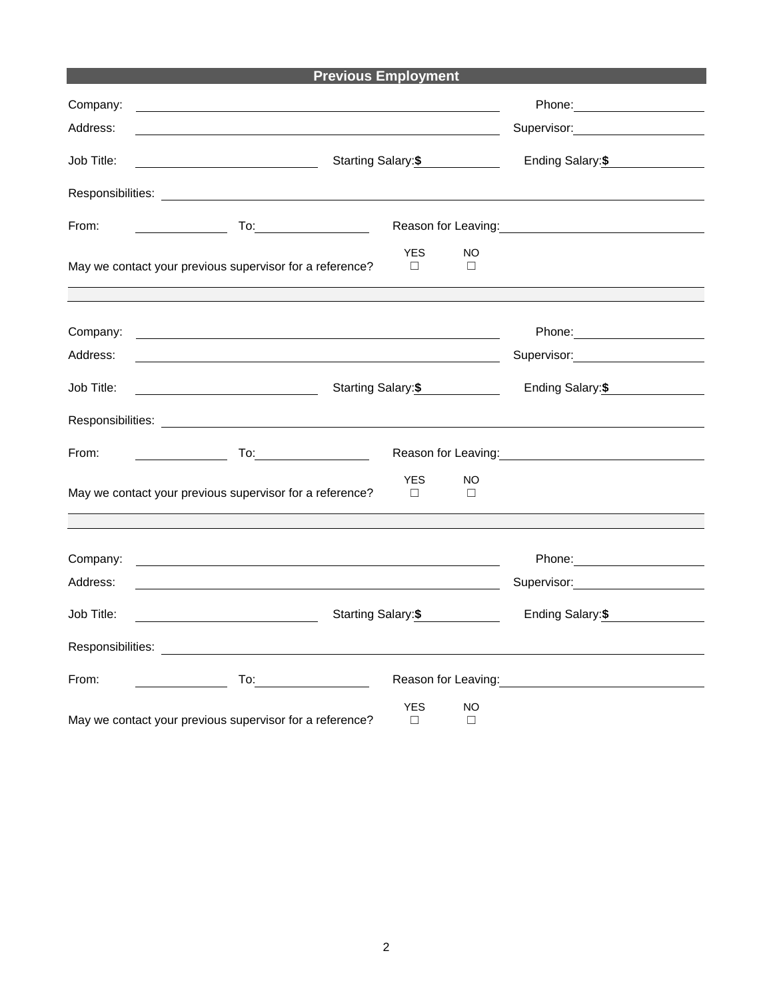|            | <b>Previous Employment</b>                                                                                            |                                                                                                                 |  |
|------------|-----------------------------------------------------------------------------------------------------------------------|-----------------------------------------------------------------------------------------------------------------|--|
| Company:   | and the control of the control of the control of the control of the control of the control of the control of the      |                                                                                                                 |  |
| Address:   |                                                                                                                       | Supervisor: Supervisor:                                                                                         |  |
| Job Title: | Starting Salary:\$                                                                                                    | Ending Salary:\$                                                                                                |  |
|            |                                                                                                                       |                                                                                                                 |  |
| From:      | $To: \begin{tabular}{ c c c } \hline \quad \quad & \quad \quad & \quad \quad \\ \hline \end{tabular}$                 | Reason for Leaving:<br><u>Neason</u> for Leaving:                                                               |  |
|            | <b>YES</b><br>May we contact your previous supervisor for a reference?<br>П                                           | <b>NO</b><br>□                                                                                                  |  |
|            |                                                                                                                       |                                                                                                                 |  |
| Company:   | <u> 1989 - Johann Stein, synsk politik foar de oarste fan it ferstjer fan de oarste fan it ferstjer fan de oars</u>   |                                                                                                                 |  |
| Address:   |                                                                                                                       |                                                                                                                 |  |
| Job Title: | <u> 1990 - Johann Barbara, martin a</u><br>Starting Salary:\$                                                         | Ending Salary:\$                                                                                                |  |
|            |                                                                                                                       |                                                                                                                 |  |
| From:      | $To: \underline{\hspace{2.5cm}}$                                                                                      |                                                                                                                 |  |
|            | <b>YES</b><br>May we contact your previous supervisor for a reference?<br>$\Box$                                      | <b>NO</b><br>$\Box$                                                                                             |  |
|            |                                                                                                                       |                                                                                                                 |  |
| Company:   | <u> 1989 - Johann Barn, amerikan besteman besteman besteman besteman besteman besteman besteman besteman besteman</u> |                                                                                                                 |  |
| Address:   |                                                                                                                       | Supervisor: Victor Communication                                                                                |  |
| Job Title: | Starting Salary: \$<br><u> 1989 - Johann Barbara, martin a</u>                                                        | Ending Salary:\$                                                                                                |  |
|            |                                                                                                                       |                                                                                                                 |  |
| From:      | $\overline{10}$ :                                                                                                     | Reason for Leaving: The contract of the set of the set of the set of the set of the set of the set of the set o |  |
|            | <b>YES</b><br>May we contact your previous supervisor for a reference?<br>$\Box$                                      | <b>NO</b><br>$\Box$                                                                                             |  |